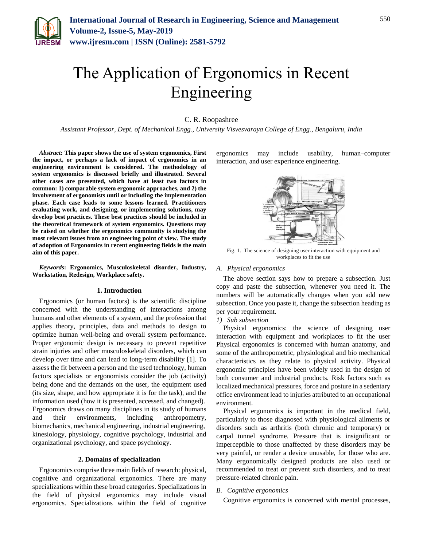

# The Application of Ergonomics in Recent Engineering

#### C. R. Roopashree

*Assistant Professor, Dept. of Mechanical Engg., University Visvesvaraya College of Engg., Bengaluru, India*

*Abstract***: This paper shows the use of system ergonomics, First the impact, or perhaps a lack of impact of ergonomics in an engineering environment is considered. The methodology of system ergonomics is discussed briefly and illustrated. Several other cases are presented, which have at least two factors in common: 1) comparable system ergonomic approaches, and 2) the involvement of ergonomists until or including the implementation phase. Each case leads to some lessons learned. Practitioners evaluating work, and designing, or implementing solutions, may develop best practices. These best practices should be included in the theoretical framework of system ergonomics. Questions may be raised on whether the ergonomics community is studying the most relevant issues from an engineering point of view. The study of adoption of Ergonomics in recent engineering fields is the main aim of this paper.** 

*Keywords***: Ergonomics, Musculoskeletal disorder, Industry, Workstation, Redesign, Workplace safety.**

#### **1. Introduction**

Ergonomics (or human factors) is the scientific discipline concerned with the understanding of interactions among humans and other elements of a system, and the profession that applies theory, principles, data and methods to design to optimize human well-being and overall system performance. Proper ergonomic design is necessary to prevent repetitive strain injuries and other musculoskeletal disorders, which can develop over time and can lead to long-term disability [1]. To assess the fit between a person and the used technology, human factors specialists or ergonomists consider the job (activity) being done and the demands on the user, the equipment used (its size, shape, and how appropriate it is for the task), and the information used (how it is presented, accessed, and changed). Ergonomics draws on many disciplines in its study of humans and their environments, including anthropometry, biomechanics, mechanical engineering, industrial engineering, kinesiology, physiology, cognitive psychology, industrial and organizational psychology, and space psychology.

#### **2. Domains of specialization**

Ergonomics comprise three main fields of research: physical, cognitive and organizational ergonomics. There are many specializations within these broad categories. Specializations in the field of physical ergonomics may include visual ergonomics. Specializations within the field of cognitive

ergonomics may include usability, human–computer interaction, and user experience engineering.



Fig. 1. The science of designing user interaction with equipment and workplaces to fit the use

#### *A. Physical ergonomics*

The above section says how to prepare a subsection. Just copy and paste the subsection, whenever you need it. The numbers will be automatically changes when you add new subsection. Once you paste it, change the subsection heading as per your requirement.

#### *1) Sub subsection*

Physical ergonomics: the science of designing user interaction with equipment and workplaces to fit the user Physical ergonomics is concerned with human anatomy, and some of the anthropometric, physiological and bio mechanical characteristics as they relate to physical activity. Physical ergonomic principles have been widely used in the design of both consumer and industrial products. Risk factors such as localized mechanical pressures, force and posture in a sedentary office environment lead to injuries attributed to an occupational environment.

Physical ergonomics is important in the medical field, particularly to those diagnosed with physiological ailments or disorders such as arthritis (both chronic and temporary) or carpal tunnel syndrome. Pressure that is insignificant or imperceptible to those unaffected by these disorders may be very painful, or render a device unusable, for those who are. Many ergonomically designed products are also used or recommended to treat or prevent such disorders, and to treat pressure-related chronic pain.

#### *B. Cognitive ergonomics*

Cognitive ergonomics is concerned with mental processes,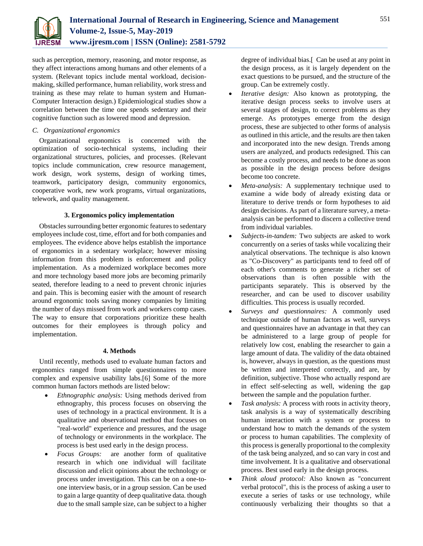

such as perception, memory, reasoning, and motor response, as they affect interactions among humans and other elements of a system. (Relevant topics include mental workload, decisionmaking, skilled performance, human reliability, work stress and training as these may relate to human system and Human-Computer Interaction design.) Epidemiological studies show a correlation between the time one spends sedentary and their cognitive function such as lowered mood and depression.

# *C. Organizational ergonomics*

Organizational ergonomics is concerned with the optimization of socio-technical systems, including their organizational structures, policies, and processes. (Relevant topics include communication, crew resource management, work design, work systems, design of working times, teamwork, participatory design, community ergonomics, cooperative work, new work programs, virtual organizations, telework, and quality management.

# **3. Ergonomics policy implementation**

Obstacles surrounding better ergonomic features to sedentary employees include cost, time, effort and for both companies and employees. The evidence above helps establish the importance of ergonomics in a sedentary workplace; however missing information from this problem is enforcement and policy implementation. As a modernized workplace becomes more and more technology based more jobs are becoming primarily seated, therefore leading to a need to prevent chronic injuries and pain. This is becoming easier with the amount of research around ergonomic tools saving money companies by limiting the number of days missed from work and workers comp cases. The way to ensure that corporations prioritize these health outcomes for their employees is through policy and implementation.

# **4. Methods**

Until recently, methods used to evaluate human factors and ergonomics ranged from simple questionnaires to more complex and expensive usability labs.[6] Some of the more common human factors methods are listed below:

- *Ethnographic analysis:* Using methods derived from ethnography, this process focuses on observing the uses of technology in a practical environment. It is a qualitative and observational method that focuses on "real-world" experience and pressures, and the usage of technology or environments in the workplace. The process is best used early in the design process.
- *Focus Groups:* are another form of qualitative research in which one individual will facilitate discussion and elicit opinions about the technology or process under investigation. This can be on a one-toone interview basis, or in a group session. Can be used to gain a large quantity of deep qualitative data. though due to the small sample size, can be subject to a higher

degree of individual bias.[ Can be used at any point in the design process, as it is largely dependent on the exact questions to be pursued, and the structure of the group. Can be extremely costly.

- *Iterative design:* Also known as prototyping, the iterative design process seeks to involve users at several stages of design, to correct problems as they emerge. As prototypes emerge from the design process, these are subjected to other forms of analysis as outlined in this article, and the results are then taken and incorporated into the new design. Trends among users are analyzed, and products redesigned. This can become a costly process, and needs to be done as soon as possible in the design process before designs become too concrete.
- *Meta-analysis:* A supplementary technique used to examine a wide body of already existing data or literature to derive trends or form hypotheses to aid design decisions. As part of a literature survey, a metaanalysis can be performed to discern a collective trend from individual variables.
- *Subjects-in-tandem:* Two subjects are asked to work concurrently on a series of tasks while vocalizing their analytical observations. The technique is also known as "Co-Discovery" as participants tend to feed off of each other's comments to generate a richer set of observations than is often possible with the participants separately. This is observed by the researcher, and can be used to discover usability difficulties. This process is usually recorded.
- *Surveys and questionnaires:* A commonly used technique outside of human factors as well, surveys and questionnaires have an advantage in that they can be administered to a large group of people for relatively low cost, enabling the researcher to gain a large amount of data. The validity of the data obtained is, however, always in question, as the questions must be written and interpreted correctly, and are, by definition, subjective. Those who actually respond are in effect self-selecting as well, widening the gap between the sample and the population further.
- *Task analysis:* A process with roots in activity theory, task analysis is a way of systematically describing human interaction with a system or process to understand how to match the demands of the system or process to human capabilities. The complexity of this process is generally proportional to the complexity of the task being analyzed, and so can vary in cost and time involvement. It is a qualitative and observational process. Best used early in the design process.
- *Think aloud protocol:* Also known as "concurrent verbal protocol", this is the process of asking a user to execute a series of tasks or use technology, while continuously verbalizing their thoughts so that a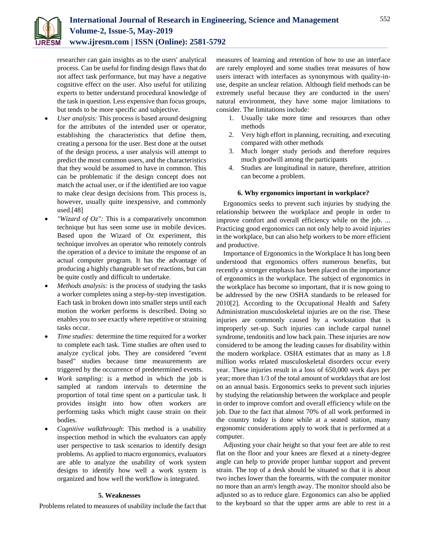

researcher can gain insights as to the users' analytical process. Can be useful for finding design flaws that do not affect task performance, but may have a negative cognitive effect on the user. Also useful for utilizing experts to better understand procedural knowledge of the task in question. Less expensive than focus groups, but tends to be more specific and subjective.

- *User analysis:* This process is based around designing for the attributes of the intended user or operator, establishing the characteristics that define them, creating a persona for the user. Best done at the outset of the design process, a user analysis will attempt to predict the most common users, and the characteristics that they would be assumed to have in common. This can be problematic if the design concept does not match the actual user, or if the identified are too vague to make clear design decisions from. This process is, however, usually quite inexpensive, and commonly used.[48]
- *"Wizard of Oz":* This is a comparatively uncommon technique but has seen some use in mobile devices. Based upon the Wizard of Oz experiment, this technique involves an operator who remotely controls the operation of a device to imitate the response of an actual computer program. It has the advantage of producing a highly changeable set of reactions, but can be quite costly and difficult to undertake.
- *Methods analysis:* is the process of studying the tasks a worker completes using a step-by-step investigation. Each task in broken down into smaller steps until each motion the worker performs is described. Doing so enables you to see exactly where repetitive or straining tasks occur.
- *Time studies:* determine the time required for a worker to complete each task. Time studies are often used to analyze cyclical jobs. They are considered "event based" studies because time measurements are triggered by the occurrence of predetermined events.
- *Work sampling:* is a method in which the job is sampled at random intervals to determine the proportion of total time spent on a particular task. It provides insight into how often workers are performing tasks which might cause strain on their bodies.
- *Cognitive walkthrough*: This method is a usability inspection method in which the evaluators can apply user perspective to task scenarios to identify design problems. As applied to macro ergonomics, evaluators are able to analyze the usability of work system designs to identify how well a work system is organized and how well the workflow is integrated.

#### **5. Weaknesses**

Problems related to measures of usability include the fact that

measures of learning and retention of how to use an interface are rarely employed and some studies treat measures of how users interact with interfaces as synonymous with quality-inuse, despite an unclear relation. Although field methods can be extremely useful because they are conducted in the users' natural environment, they have some major limitations to consider. The limitations include:

- 1. Usually take more time and resources than other methods
- 2. Very high effort in planning, recruiting, and executing compared with other methods
- 3. Much longer study periods and therefore requires much goodwill among the participants
- 4. Studies are longitudinal in nature, therefore, attrition can become a problem.

#### **6. Why ergonomics important in workplace?**

Ergonomics seeks to prevent such injuries by studying the relationship between the workplace and people in order to improve comfort and overall efficiency while on the job. ... Practicing good ergonomics can not only help to avoid injuries in the workplace, but can also help workers to be more efficient and productive.

Importance of Ergonomics in the Workplace It has long been understood that ergonomics offers numerous benefits, but recently a stronger emphasis has been placed on the importance of ergonomics in the workplace. The subject of ergonomics in the workplace has become so important, that it is now going to be addressed by the new OSHA standards to be released for 2010[2]. According to the Occupational Health and Safety Administration musculoskeletal injuries are on the rise. These injuries are commonly caused by a workstation that is improperly set-up. Such injuries can include carpal tunnel syndrome, tendonitis and low back pain. These injuries are now considered to be among the leading causes for disability within the modern workplace. OSHA estimates that as many as 1.8 million works related musculoskeletal disorders occur every year. These injuries result in a loss of 650,000 work days per year; more than 1/3 of the total amount of workdays that are lost on an annual basis. Ergonomics seeks to prevent such injuries by studying the relationship between the workplace and people in order to improve comfort and overall efficiency while on the job. Due to the fact that almost 70% of all work performed in the country today is done while at a seated station, many ergonomic considerations apply to work that is performed at a computer.

Adjusting your chair height so that your feet are able to rest flat on the floor and your knees are flexed at a ninety-degree angle can help to provide proper lumbar support and prevent strain. The top of a desk should be situated so that it is about two inches lower than the forearms, with the computer monitor no more than an arm's length away. The monitor should also be adjusted so as to reduce glare. Ergonomics can also be applied to the keyboard so that the upper arms are able to rest in a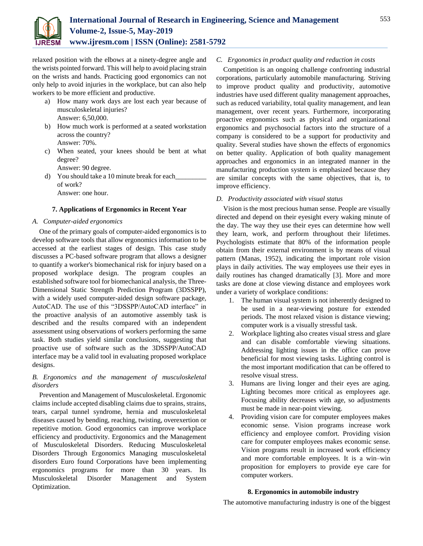

relaxed position with the elbows at a ninety-degree angle and the wrists pointed forward. This will help to avoid placing strain on the wrists and hands. Practicing good ergonomics can not only help to avoid injuries in the workplace, but can also help workers to be more efficient and productive.

- a) How many work days are lost each year because of musculoskeletal injuries? Answer: 6,50,000.
- b) How much work is performed at a seated workstation across the country? Answer: 70%.
- c) When seated, your knees should be bent at what degree?

Answer: 90 degree.

d) You should take a 10 minute break for each\_\_\_\_\_\_\_\_\_ of work? Answer: one hour.

# **7. Applications of Ergonomics in Recent Year**

#### *A. Computer-aided ergonomics*

One of the primary goals of computer-aided ergonomics is to develop software tools that allow ergonomics information to be accessed at the earliest stages of design. This case study discusses a PC-based software program that allows a designer to quantify a worker's biomechanical risk for injury based on a proposed workplace design. The program couples an established software tool for biomechanical analysis, the Three-Dimensional Static Strength Prediction Program (3DSSPP), with a widely used computer-aided design software package, AutoCAD. The use of this "3DSSPP/AutoCAD interface" in the proactive analysis of an automotive assembly task is described and the results compared with an independent assessment using observations of workers performing the same task. Both studies yield similar conclusions, suggesting that proactive use of software such as the 3DSSPP/AutoCAD interface may be a valid tool in evaluating proposed workplace designs.

#### *B. Ergonomics and the management of musculoskeletal disorders*

Prevention and Management of Musculoskeletal. Ergonomic claims include accepted disabling claims due to sprains, strains, tears, carpal tunnel syndrome, hernia and musculoskeletal diseases caused by bending, reaching, twisting, overexertion or repetitive motion. Good ergonomics can improve workplace efficiency and productivity. Ergonomics and the Management of Musculoskeletal Disorders. Reducing Musculoskeletal Disorders Through Ergonomics Managing musculoskeletal disorders Euro found Corporations have been implementing ergonomics programs for more than 30 years. Its Musculoskeletal Disorder Management and System Optimization.

#### *C. Ergonomics in product quality and reduction in costs*

Competition is an ongoing challenge confronting industrial corporations, particularly automobile manufacturing. Striving to improve product quality and productivity, automotive industries have used different quality management approaches, such as reduced variability, total quality management, and lean management, over recent years. Furthermore, incorporating proactive ergonomics such as physical and organizational ergonomics and psychosocial factors into the structure of a company is considered to be a support for productivity and quality. Several studies have shown the effects of ergonomics on better quality. Application of both quality management approaches and ergonomics in an integrated manner in the manufacturing production system is emphasized because they are similar concepts with the same objectives, that is, to improve efficiency.

#### *D. Productivity associated with visual status*

Vision is the most precious human sense. People are visually directed and depend on their eyesight every waking minute of the day. The way they use their eyes can determine how well they learn, work, and perform throughout their lifetimes. Psychologists estimate that 80% of the information people obtain from their external environment is by means of visual pattern (Manas, 1952), indicating the important role vision plays in daily activities. The way employees use their eyes in daily routines has changed dramatically [3]. More and more tasks are done at close viewing distance and employees work under a variety of workplace conditions:

- 1. The human visual system is not inherently designed to be used in a near-viewing posture for extended periods. The most relaxed vision is distance viewing; computer work is a visually stressful task.
- 2. Workplace lighting also creates visual stress and glare and can disable comfortable viewing situations. Addressing lighting issues in the office can prove beneficial for most viewing tasks. Lighting control is the most important modification that can be offered to resolve visual stress.
- 3. Humans are living longer and their eyes are aging. Lighting becomes more critical as employees age. Focusing ability decreases with age, so adjustments must be made in near-point viewing.
- 4. Providing vision care for computer employees makes economic sense. Vision programs increase work efficiency and employee comfort. Providing vision care for computer employees makes economic sense. Vision programs result in increased work efficiency and more comfortable employees. It is a win–win proposition for employers to provide eye care for computer workers.

#### **8. Ergonomics in automobile industry**

The automotive manufacturing industry is one of the biggest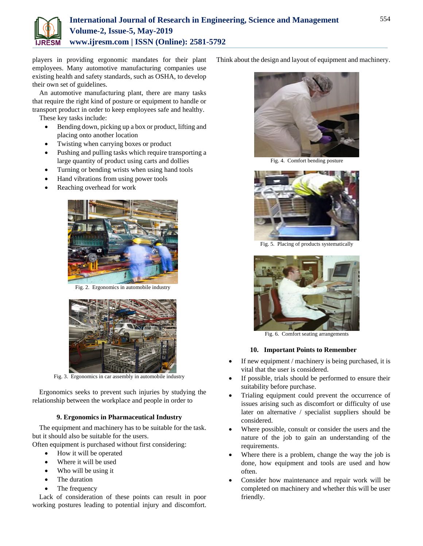

players in providing ergonomic mandates for their plant employees. Many automotive manufacturing companies use existing health and safety standards, such as OSHA, to develop their own set of guidelines.

An automotive manufacturing plant, there are many tasks that require the right kind of posture or equipment to handle or transport product in order to keep employees safe and healthy.

These key tasks include:

- Bending down, picking up a box or product, lifting and placing onto another location
- Twisting when carrying boxes or product
- Pushing and pulling tasks which require transporting a large quantity of product using carts and dollies
- Turning or bending wrists when using hand tools
- Hand vibrations from using power tools
- Reaching overhead for work



Fig. 2. Ergonomics in automobile industry



Fig. 3. Ergonomics in car assembly in automobile industry

Ergonomics seeks to prevent such injuries by studying the relationship between the workplace and people in order to

# **9. Ergonomics in Pharmaceutical Industry**

The equipment and machinery has to be suitable for the task. but it should also be suitable for the users.

Often equipment is purchased without first considering:

- How it will be operated
- Where it will be used
- Who will be using it
- The duration
- The frequency

Lack of consideration of these points can result in poor working postures leading to potential injury and discomfort. Think about the design and layout of equipment and machinery.



Fig. 4. Comfort bending posture



Fig. 5. Placing of products systematically



Fig. 6. Comfort seating arrangements

# **10. Important Points to Remember**

- If new equipment / machinery is being purchased, it is vital that the user is considered.
- If possible, trials should be performed to ensure their suitability before purchase.
- Trialing equipment could prevent the occurrence of issues arising such as discomfort or difficulty of use later on alternative / specialist suppliers should be considered.
- Where possible, consult or consider the users and the nature of the job to gain an understanding of the requirements.
- Where there is a problem, change the way the job is done, how equipment and tools are used and how often.
- Consider how maintenance and repair work will be completed on machinery and whether this will be user friendly.